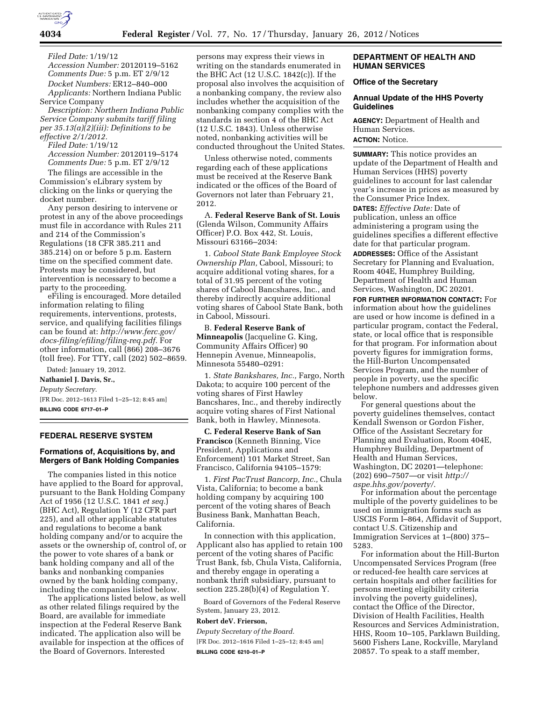

**4034 Federal Register** / Vol. 77, No. 17 / Thursday, January 26, 2012 / Notices

*Filed Date:* 1/19/12 *Accession Number:* 20120119–5162 *Comments Due:* 5 p.m. ET 2/9/12 *Docket Numbers:* ER12–840–000 *Applicants:* Northern Indiana Public

Service Company *Description: Northern Indiana Public Service Company submits tariff filing per 35.13(a)(2)(iii): Definitions to be effective 2/1/2012.* 

*Filed Date:* 1/19/12

*Accession Number:* 20120119–5174 *Comments Due:* 5 p.m. ET 2/9/12

The filings are accessible in the Commission's eLibrary system by clicking on the links or querying the docket number.

Any person desiring to intervene or protest in any of the above proceedings must file in accordance with Rules 211 and 214 of the Commission's Regulations (18 CFR 385.211 and 385.214) on or before 5 p.m. Eastern time on the specified comment date. Protests may be considered, but intervention is necessary to become a party to the proceeding.

eFiling is encouraged. More detailed information relating to filing requirements, interventions, protests, service, and qualifying facilities filings can be found at: *[http://www.ferc.gov/](http://www.ferc.gov/docs-filing/efiling/filing-req.pdf)  [docs-filing/efiling/filing-req.pdf.](http://www.ferc.gov/docs-filing/efiling/filing-req.pdf)* For other information, call (866) 208–3676 (toll free). For TTY, call (202) 502–8659.

Dated: January 19, 2012. **Nathaniel J. Davis, Sr.,**  *Deputy Secretary.*  [FR Doc. 2012–1613 Filed 1–25–12; 8:45 am] **BILLING CODE 6717–01–P** 

### **FEDERAL RESERVE SYSTEM**

# **Formations of, Acquisitions by, and Mergers of Bank Holding Companies**

The companies listed in this notice have applied to the Board for approval, pursuant to the Bank Holding Company Act of 1956 (12 U.S.C. 1841 *et seq.*) (BHC Act), Regulation Y (12 CFR part 225), and all other applicable statutes and regulations to become a bank holding company and/or to acquire the assets or the ownership of, control of, or the power to vote shares of a bank or bank holding company and all of the banks and nonbanking companies owned by the bank holding company, including the companies listed below.

The applications listed below, as well as other related filings required by the Board, are available for immediate inspection at the Federal Reserve Bank indicated. The application also will be available for inspection at the offices of the Board of Governors. Interested

persons may express their views in writing on the standards enumerated in the BHC Act (12 U.S.C. 1842(c)). If the proposal also involves the acquisition of a nonbanking company, the review also includes whether the acquisition of the nonbanking company complies with the standards in section 4 of the BHC Act (12 U.S.C. 1843). Unless otherwise noted, nonbanking activities will be conducted throughout the United States.

Unless otherwise noted, comments regarding each of these applications must be received at the Reserve Bank indicated or the offices of the Board of Governors not later than February 21, 2012.

A. **Federal Reserve Bank of St. Louis**  (Glenda Wilson, Community Affairs Officer) P.O. Box 442, St. Louis, Missouri 63166–2034:

1. *Cabool State Bank Employee Stock Ownership Plan,* Cabool, Missouri; to acquire additional voting shares, for a total of 31.95 percent of the voting shares of Cabool Bancshares, Inc., and thereby indirectly acquire additional voting shares of Cabool State Bank, both in Cabool, Missouri.

B. **Federal Reserve Bank of Minneapolis** (Jacqueline G. King, Community Affairs Officer) 90 Hennepin Avenue, Minneapolis, Minnesota 55480–0291:

1. *State Bankshares, Inc.,* Fargo, North Dakota; to acquire 100 percent of the voting shares of First Hawley Bancshares, Inc., and thereby indirectly acquire voting shares of First National Bank, both in Hawley, Minnesota.

**C. Federal Reserve Bank of San Francisco** (Kenneth Binning, Vice President, Applications and Enforcement) 101 Market Street, San Francisco, California 94105–1579:

1. *First PacTrust Bancorp, Inc.,* Chula Vista, California; to become a bank holding company by acquiring 100 percent of the voting shares of Beach Business Bank, Manhattan Beach, California.

In connection with this application, Applicant also has applied to retain 100 percent of the voting shares of Pacific Trust Bank, fsb, Chula Vista, California, and thereby engage in operating a nonbank thrift subsidiary, pursuant to section 225.28(b)(4) of Regulation Y.

Board of Governors of the Federal Reserve System, January 23, 2012.

### **Robert deV. Frierson,**

*Deputy Secretary of the Board.*  [FR Doc. 2012–1616 Filed 1–25–12; 8:45 am] **BILLING CODE 6210–01–P** 

## **DEPARTMENT OF HEALTH AND HUMAN SERVICES**

## **Office of the Secretary**

## **Annual Update of the HHS Poverty Guidelines**

**AGENCY:** Department of Health and Human Services. **ACTION:** Notice.

**SUMMARY:** This notice provides an update of the Department of Health and Human Services (HHS) poverty guidelines to account for last calendar year's increase in prices as measured by the Consumer Price Index.

**DATES:** *Effective Date:* Date of publication, unless an office administering a program using the guidelines specifies a different effective date for that particular program. **ADDRESSES:** Office of the Assistant Secretary for Planning and Evaluation, Room 404E, Humphrey Building, Department of Health and Human

Services, Washington, DC 20201. **FOR FURTHER INFORMATION CONTACT:** For information about how the guidelines are used or how income is defined in a particular program, contact the Federal, state, or local office that is responsible for that program. For information about poverty figures for immigration forms, the Hill-Burton Uncompensated Services Program, and the number of people in poverty, use the specific telephone numbers and addresses given below.

For general questions about the poverty guidelines themselves, contact Kendall Swenson or Gordon Fisher, Office of the Assistant Secretary for Planning and Evaluation, Room 404E, Humphrey Building, Department of Health and Human Services, Washington, DC 20201—telephone: (202) 690–7507—or visit *[http://](http://aspe.hhs.gov/poverty/) [aspe.hhs.gov/poverty/](http://aspe.hhs.gov/poverty/)*.

For information about the percentage multiple of the poverty guidelines to be used on immigration forms such as USCIS Form I–864, Affidavit of Support, contact U.S. Citizenship and Immigration Services at 1–(800) 375– 5283.

For information about the Hill-Burton Uncompensated Services Program (free or reduced-fee health care services at certain hospitals and other facilities for persons meeting eligibility criteria involving the poverty guidelines), contact the Office of the Director, Division of Health Facilities, Health Resources and Services Administration, HHS, Room 10–105, Parklawn Building, 5600 Fishers Lane, Rockville, Maryland 20857. To speak to a staff member,